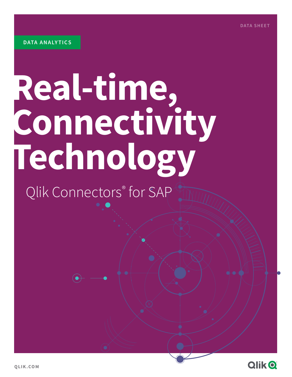# **Real-time, Connectivity Technology**

## Qlik Connectors® for SAP

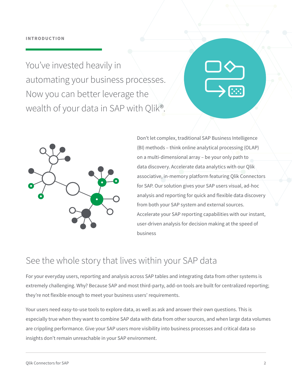You've invested heavily in automating your business processes. Now you can better leverage the wealth of your data in SAP with Qlik®.



Don't let complex, traditional SAP Business Intelligence (BI) methods – think online analytical processing (OLAP) on a multi-dimensional array – be your only path to data discovery. Accelerate data analytics with our Qlik associative, in-memory platform featuring Qlik Connectors for SAP. Our solution gives your SAP users visual, ad-hoc analysis and reporting for quick and flexible data discovery from both your SAP system and external sources. Accelerate your SAP reporting capabilities with our instant, user-driven analysis for decision making at the speed of business

## See the whole story that lives within your SAP data

For your everyday users, reporting and analysis across SAP tables and integrating data from other systems is extremely challenging. Why? Because SAP and most third-party, add-on tools are built for centralized reporting; they're not flexible enough to meet your business users' requirements.

Your users need easy-to-use tools to explore data, as well as ask and answer their own questions. This is especially true when they want to combine SAP data with data from other sources, and when large data volumes are crippling performance. Give your SAP users more visibility into business processes and critical data so insights don't remain unreachable in your SAP environment.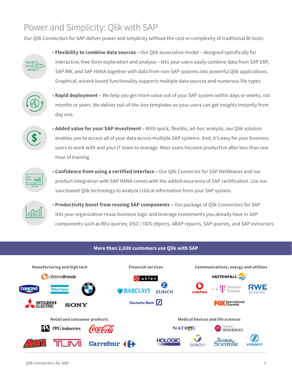## Power and Simplicity: Qlik with SAP

Our Qlik Connectors for SAP deliver power and simplicity without the cost or complexity of traditional BI tools:



• **Flexibility to combine data sources –** Our Qlik associative model – designed specifically for interactive, free-form exploration and analysis – lets your users easily combine data from SAP ERP, SAP BW, and SAP HANA together with data from non-SAP systems into powerful Qlik applications. Graphical, wizard-based functionality supports multiple data sources and numerous file types.



• **Rapid deployment –** We help you get more value out of your SAP system within days or weeks, not months or years. We deliver out-of-the-box templates so your users can get insights instantly from day one.



• **Added value for your SAP investment –** With quick, flexible, ad-hoc analysis, our Qlik solution enables you to access all of your data across multiple SAP systems. And, it's easy for your business users to work with and your IT team to manage. Most users become productive after less than one hour of training.



• **Confidence from using a certified interface –** Our Qlik Connector for SAP NetWeaver and our product integration with SAP HANA comes with the added assurance of SAP certification. Use our sanctioned Qlik technology to analyze critical information from your SAP system.



• **Productivity boost from reusing SAP components –** Our package of Qlik Connectors for SAP lets your organization reuse business logic and leverage investments you already have in SAP components such as BEx queries, DSO / ODS objects, ABAP reports, SAP queries, and SAP extractors

#### **More than 2,000 customers use Qlik with SAP**

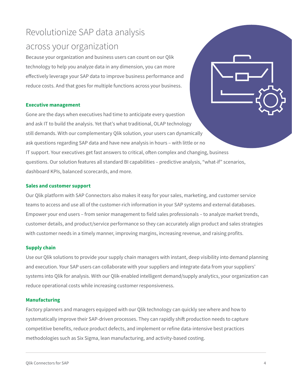## Revolutionize SAP data analysis across your organization

Because your organization and business users can count on our Qlik technology to help you analyze data in any dimension, you can more effectively leverage your SAP data to improve business performance and reduce costs. And that goes for multiple functions across your business.

#### **Executive management**

Gone are the days when executives had time to anticipate every question and ask IT to build the analysis. Yet that's what traditional, OLAP technology still demands. With our complementary Qlik solution, your users can dynamically ask questions regarding SAP data and have new analysis in hours – with little or no IT support. Your executives get fast answers to critical, often complex and changing, business questions. Our solution features all standard BI capabilities – predictive analysis, "what-if" scenarios, dashboard KPIs, balanced scorecards, and more.

#### **Sales and customer support**

Our Qlik platform with SAP Connectors also makes it easy for your sales, marketing, and customer service teams to access and use all of the customer-rich information in your SAP systems and external databases. Empower your end users – from senior management to field sales professionals – to analyze market trends, customer details, and product/service performance so they can accurately align product and sales strategies with customer needs in a timely manner, improving margins, increasing revenue, and raising profits.

#### **Supply chain**

Use our Qlik solutions to provide your supply chain managers with instant, deep visibility into demand planning and execution. Your SAP users can collaborate with your suppliers and integrate data from your suppliers' systems into Qlik for analysis. With our Qlik-enabled intelligent demand/supply analytics, your organization can reduce operational costs while increasing customer responsiveness.

#### **Manufacturing**

Factory planners and managers equipped with our Qlik technology can quickly see where and how to systematically improve their SAP-driven processes. They can rapidly shift production needs to capture competitive benefits, reduce product defects, and implement or refine data-intensive best practices methodologies such as Six Sigma, lean manufacturing, and activity-based costing.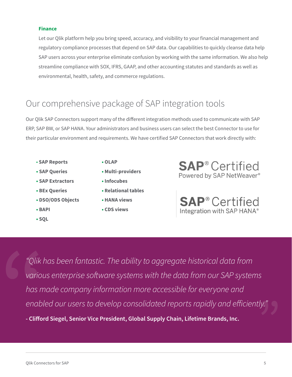#### **Finance**

Let our Qlik platform help you bring speed, accuracy, and visibility to your financial management and regulatory compliance processes that depend on SAP data. Our capabilities to quickly cleanse data help SAP users across your enterprise eliminate confusion by working with the same information. We also help streamline compliance with SOX, IFRS, GAAP, and other accounting statutes and standards as well as environmental, health, safety, and commerce regulations.

## Our comprehensive package of SAP integration tools

Our Qlik SAP Connectors support many of the different integration methods used to communicate with SAP ERP, SAP BW, or SAP HANA. Your administrators and business users can select the best Connector to use for their particular environment and requirements. We have certified SAP Connectors that work directly with:

- **SAP Reports**
- **SAP Queries**
- **SAP Extractors**
- **BEx Queries**
- **DSO/ODS Objects**
- **BAPI**
- **SQL**
- **OLAP**
- **Multi-providers**
- **Infocubes**
- **Relational tables**
- **HANA views**
- **CDS views**

**SAP<sup>®</sup>** Certified Powered by SAP NetWeaver®

**SAP<sup>®</sup>** Certified Integration with SAP HANA®

*"Qlik has been fantastic. The ability to aggregate historical data from various enterprise software systems with the data from our SAP systems has made company information more accessible for everyone and enabled our users to develop consolidated reports rapidly and efficiently."* **- Clifford Siegel, Senior Vice President, Global Supply Chain, Lifetime Brands, Inc.**